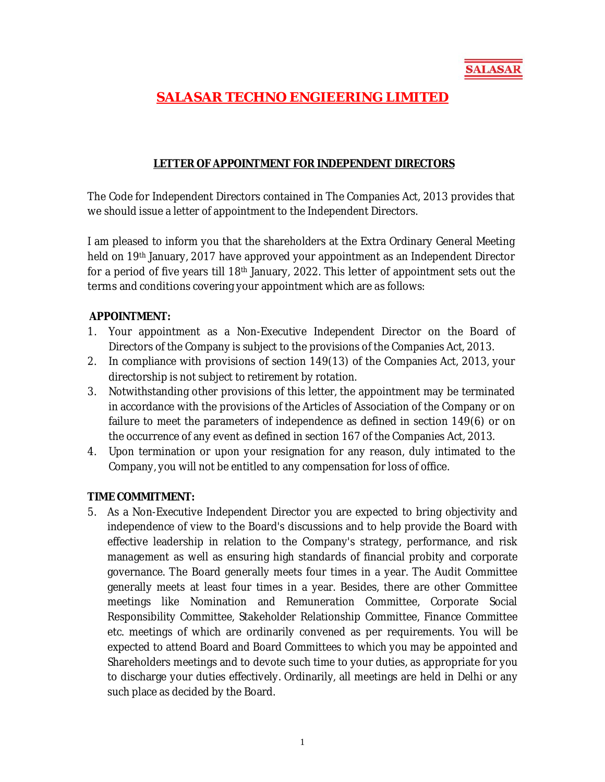

# **SALASAR TECHNO ENGIEERING LIMITED**

#### **LETTER OF APPOINTMENT FOR INDEPENDENT DIRECTORS**

The Code for Independent Directors contained in The Companies Act, 2013 provides that we should issue a letter of appointment to the Independent Directors.

I am pleased to inform you that the shareholders at the Extra Ordinary General Meeting held on 19th January, 2017 have approved your appointment as an Independent Director for a period of five years till 18<sup>th</sup> January, 2022. This letter of appointment sets out the terms and conditions covering your appointment which are as follows:

#### **APPOINTMENT:**

- 1. Your appointment as a Non-Executive Independent Director on the Board of Directors of the Company is subject to the provisions of the Companies Act, 2013.
- 2. In compliance with provisions of section 149(13) of the Companies Act, 2013, your directorship is not subject to retirement by rotation.
- 3. Notwithstanding other provisions of this letter, the appointment may be terminated in accordance with the provisions of the Articles of Association of the Company or on failure to meet the parameters of independence as defined in section 149(6) or on the occurrence of any event as defined in section 167 of the Companies Act, 2013.
- 4. Upon termination or upon your resignation for any reason, duly intimated to the Company, you will not be entitled to any compensation for loss of office.

#### **TIME COMMITMENT:**

5. As a Non-Executive Independent Director you are expected to bring objectivity and independence of view to the Board's discussions and to help provide the Board with effective leadership in relation to the Company's strategy, performance, and risk management as well as ensuring high standards of financial probity and corporate governance. The Board generally meets four times in a year. The Audit Committee generally meets at least four times in a year. Besides, there are other Committee meetings like Nomination and Remuneration Committee, Corporate Social Responsibility Committee, Stakeholder Relationship Committee, Finance Committee etc. meetings of which are ordinarily convened as per requirements. You will be expected to attend Board and Board Committees to which you may be appointed and Shareholders meetings and to devote such time to your duties, as appropriate for you to discharge your duties effectively. Ordinarily, all meetings are held in Delhi or any such place as decided by the Board.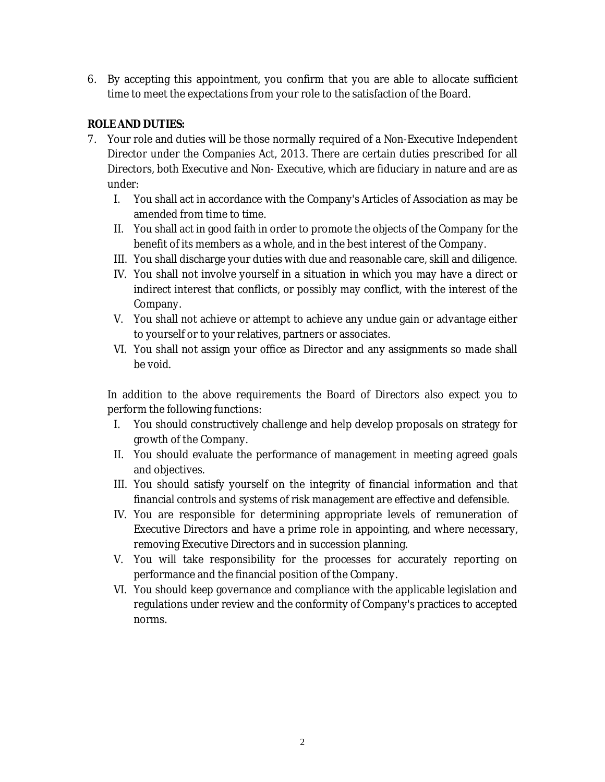6. By accepting this appointment, you confirm that you are able to allocate sufficient time to meet the expectations from your role to the satisfaction of the Board.

# **ROLE AND DUTIES:**

- 7. Your role and duties will be those normally required of a Non-Executive Independent Director under the Companies Act, 2013. There are certain duties prescribed for all Directors, both Executive and Non- Executive, which are fiduciary in nature and are as under:
	- I. You shall act in accordance with the Company's Articles of Association as may be amended from time to time.
	- II. You shall act in good faith in order to promote the objects of the Company for the benefit of its members as a whole, and in the best interest of the Company.
	- III. You shall discharge your duties with due and reasonable care, skill and diligence.
	- IV. You shall not involve yourself in a situation in which you may have a direct or indirect interest that conflicts, or possibly may conflict, with the interest of the Company.
	- V. You shall not achieve or attempt to achieve any undue gain or advantage either to yourself or to your relatives, partners or associates.
	- VI. You shall not assign your office as Director and any assignments so made shall be void.

In addition to the above requirements the Board of Directors also expect you to perform the following functions:

- I. You should constructively challenge and help develop proposals on strategy for growth of the Company.
- II. You should evaluate the performance of management in meeting agreed goals and objectives.
- III. You should satisfy yourself on the integrity of financial information and that financial controls and systems of risk management are effective and defensible.
- IV. You are responsible for determining appropriate levels of remuneration of Executive Directors and have a prime role in appointing, and where necessary, removing Executive Directors and in succession planning.
- V. You will take responsibility for the processes for accurately reporting on performance and the financial position of the Company.
- VI. You should keep governance and compliance with the applicable legislation and regulations under review and the conformity of Company's practices to accepted norms.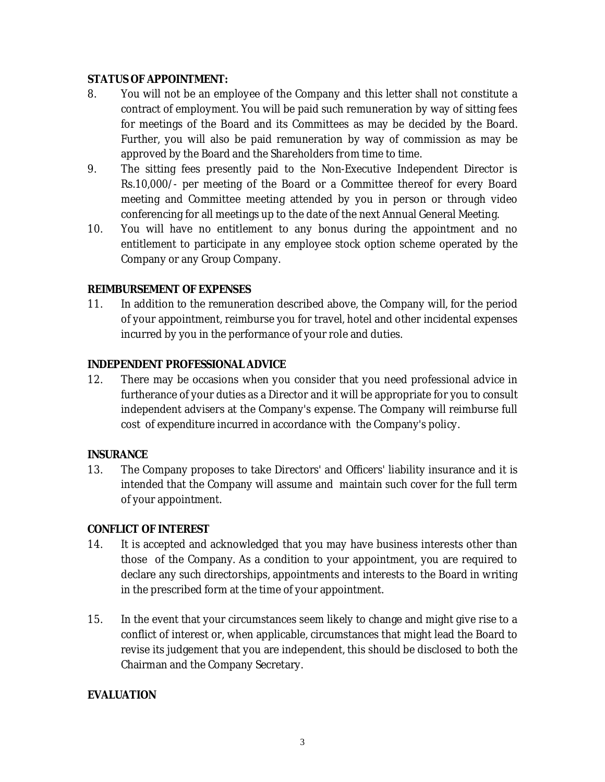#### **STATUS OF APPOINTMENT:**

- 8. You will not be an employee of the Company and this letter shall not constitute a contract of employment. You will be paid such remuneration by way of sitting fees for meetings of the Board and its Committees as may be decided by the Board. Further, you will also be paid remuneration by way of commission as may be approved by the Board and the Shareholders from time to time.
- 9. The sitting fees presently paid to the Non-Executive Independent Director is Rs.10,000/- per meeting of the Board or a Committee thereof for every Board meeting and Committee meeting attended by you in person or through video conferencing for all meetings up to the date of the next Annual General Meeting.
- 10. You will have no entitlement to any bonus during the appointment and no entitlement to participate in any employee stock option scheme operated by the Company or any Group Company.

## **REIMBURSEMENT OF EXPENSES**

11. In addition to the remuneration described above, the Company will, for the period of your appointment, reimburse you for travel, hotel and other incidental expenses incurred by you in the performance of your role and duties.

## **INDEPENDENT PROFESSIONAL ADVICE**

12. There may be occasions when you consider that you need professional advice in furtherance of your duties as a Director and it will be appropriate for you to consult independent advisers at the Company's expense. The Company will reimburse full cost of expenditure incurred in accordance with the Company's policy.

#### **INSURANCE**

13. The Company proposes to take Directors' and Officers' liability insurance and it is intended that the Company will assume and maintain such cover for the full term of your appointment.

#### **CONFLICT OF INTEREST**

- 14. It is accepted and acknowledged that you may have business interests other than those of the Company. As a condition to your appointment, you are required to declare any such directorships, appointments and interests to the Board in writing in the prescribed form at the time of your appointment.
- 15. In the event that your circumstances seem likely to change and might give rise to a conflict of interest or, when applicable, circumstances that might lead the Board to revise its judgement that you are independent, this should be disclosed to both the Chairman and the Company Secretary.

# **EVALUATION**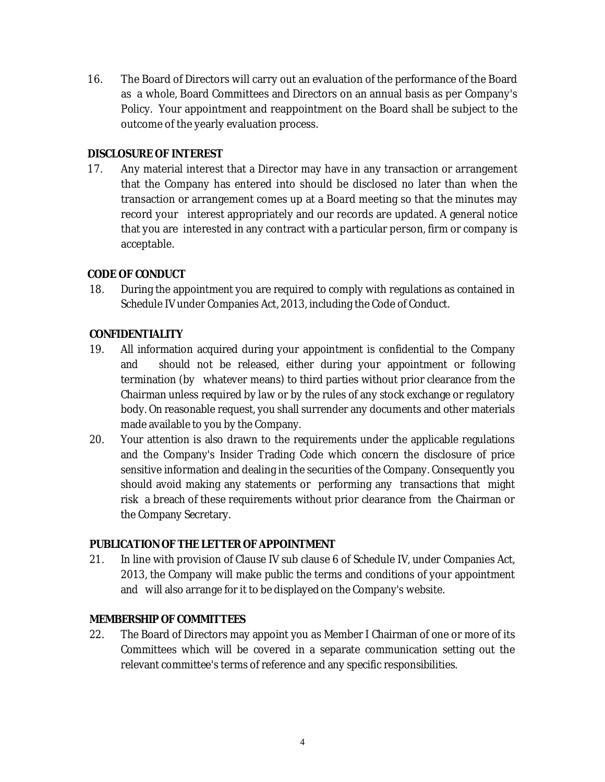16. The Board of Directors will carry out an evaluation of the performance of the Board as a whole, Board Committees and Directors on an annual basis as per Company's Policy. Your appointment and reappointment on the Board shall be subject to the outcome of the yearly evaluation process.

#### **DISCLOSURE OF INTEREST**

17. Any material interest that a Director may have in any transaction or arrangement that the Company has entered into should be disclosed no later than when the transaction or arrangement comes up at a Board meeting so that the minutes may record your interest appropriately and our records are updated. A general notice that you are interested in any contract with a particular person, firm or company is acceptable.

## **CODE OF CONDUCT**

18. During the appointment you are required to comply with regulations as contained in Schedule IV under Companies Act, 2013, including the Code of Conduct.

## **CONFIDENTIALITY**

- 19. All information acquired during your appointment is confidential to the Company and should not be released, either during your appointment or following termination (by whatever means) to third parties without prior clearance from the Chairman unless required by law or by the rules of any stock exchange or regulatory body. On reasonable request, you shall surrender any documents and other materials made available to you by the Company.
- 20. Your attention is also drawn to the requirements under the applicable regulations and the Company's Insider Trading Code which concern the disclosure of price sensitive information and dealing in the securities of the Company. Consequently you should avoid making any statements or performing any transactions that might risk a breach of these requirements without prior clearance from the Chairman or the Company Secretary.

#### **PUBLICATION OF THE LETTER OF APPOINTMENT**

21. In line with provision of Clause IV sub clause 6 of Schedule IV, under Companies Act, 2013, the Company will make public the terms and conditions of your appointment and will also arrange for it to be displayed on the Company's website.

## **MEMBERSHIP OF COMMITTEES**

22. The Board of Directors may appoint you as Member *I* Chairman of one or more of its Committees which will be covered in a separate communication setting out the relevant committee's terms of reference and any specific responsibilities.